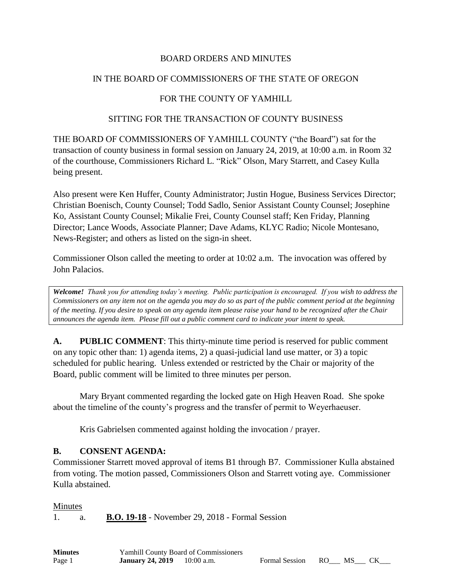## BOARD ORDERS AND MINUTES

## IN THE BOARD OF COMMISSIONERS OF THE STATE OF OREGON

## FOR THE COUNTY OF YAMHILL

#### SITTING FOR THE TRANSACTION OF COUNTY BUSINESS

THE BOARD OF COMMISSIONERS OF YAMHILL COUNTY ("the Board") sat for the transaction of county business in formal session on January 24, 2019, at 10:00 a.m. in Room 32 of the courthouse, Commissioners Richard L. "Rick" Olson, Mary Starrett, and Casey Kulla being present.

Also present were Ken Huffer, County Administrator; Justin Hogue, Business Services Director; Christian Boenisch, County Counsel; Todd Sadlo, Senior Assistant County Counsel; Josephine Ko, Assistant County Counsel; Mikalie Frei, County Counsel staff; Ken Friday, Planning Director; Lance Woods, Associate Planner; Dave Adams, KLYC Radio; Nicole Montesano, News-Register; and others as listed on the sign-in sheet.

Commissioner Olson called the meeting to order at 10:02 a.m. The invocation was offered by John Palacios.

*Welcome! Thank you for attending today's meeting. Public participation is encouraged. If you wish to address the Commissioners on any item not on the agenda you may do so as part of the public comment period at the beginning of the meeting. If you desire to speak on any agenda item please raise your hand to be recognized after the Chair announces the agenda item. Please fill out a public comment card to indicate your intent to speak.*

**A. PUBLIC COMMENT**: This thirty-minute time period is reserved for public comment on any topic other than: 1) agenda items, 2) a quasi-judicial land use matter, or 3) a topic scheduled for public hearing. Unless extended or restricted by the Chair or majority of the Board, public comment will be limited to three minutes per person.

Mary Bryant commented regarding the locked gate on High Heaven Road. She spoke about the timeline of the county's progress and the transfer of permit to Weyerhaeuser.

Kris Gabrielsen commented against holding the invocation / prayer.

### **B. CONSENT AGENDA:**

Commissioner Starrett moved approval of items B1 through B7. Commissioner Kulla abstained from voting. The motion passed, Commissioners Olson and Starrett voting aye. Commissioner Kulla abstained.

#### Minutes

1. a. **B.O. 19-18** - November 29, 2018 - Formal Session

| <b>Minutes</b> |                         | <b>Yamhill County Board of Commissioners</b> |                      |  |  |
|----------------|-------------------------|----------------------------------------------|----------------------|--|--|
| Page 1         | <b>January 24, 2019</b> | $10:00$ a.m.                                 | Formal Session RO MS |  |  |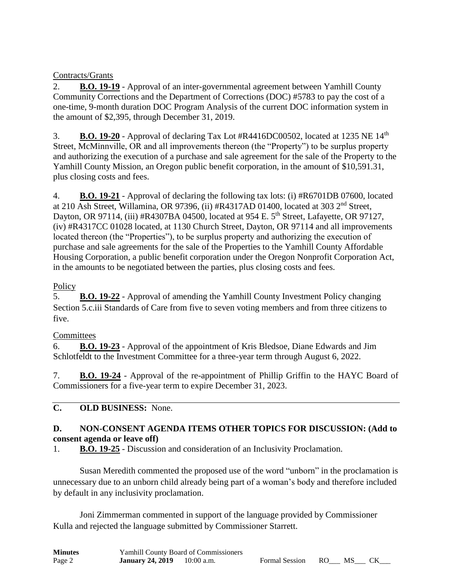# Contracts/Grants

2. **B.O. 19-19** - Approval of an inter-governmental agreement between Yamhill County Community Corrections and the Department of Corrections (DOC) #5783 to pay the cost of a one-time, 9-month duration DOC Program Analysis of the current DOC information system in the amount of \$2,395, through December 31, 2019.

3. **B.O. 19-20** - Approval of declaring Tax Lot  $#R4416DC00502$ , located at 1235 NE  $14<sup>th</sup>$ Street, McMinnville, OR and all improvements thereon (the "Property") to be surplus property and authorizing the execution of a purchase and sale agreement for the sale of the Property to the Yamhill County Mission, an Oregon public benefit corporation, in the amount of \$10,591.31, plus closing costs and fees.

4. **B.O. 19-21** - Approval of declaring the following tax lots: (i) #R6701DB 07600, located at 210 Ash Street, Willamina, OR 97396, (ii) #R4317AD 01400, located at 303 2nd Street, Dayton, OR 97114, (iii) #R4307BA 04500, located at 954 E. 5<sup>th</sup> Street, Lafayette, OR 97127, (iv) #R4317CC 01028 located, at 1130 Church Street, Dayton, OR 97114 and all improvements located thereon (the "Properties"), to be surplus property and authorizing the execution of purchase and sale agreements for the sale of the Properties to the Yamhill County Affordable Housing Corporation, a public benefit corporation under the Oregon Nonprofit Corporation Act, in the amounts to be negotiated between the parties, plus closing costs and fees.

# **Policy**

5. **B.O. 19-22** - Approval of amending the Yamhill County Investment Policy changing Section 5.c.iii Standards of Care from five to seven voting members and from three citizens to five.

# **Committees**

6. **B.O. 19-23** - Approval of the appointment of Kris Bledsoe, Diane Edwards and Jim Schlotfeldt to the Investment Committee for a three-year term through August 6, 2022.

7. **B.O. 19-24** - Approval of the re-appointment of Phillip Griffin to the HAYC Board of Commissioners for a five-year term to expire December 31, 2023.

# **C. OLD BUSINESS:** None.

# **D. NON-CONSENT AGENDA ITEMS OTHER TOPICS FOR DISCUSSION: (Add to consent agenda or leave off)**

1. **B.O. 19-25** - Discussion and consideration of an Inclusivity Proclamation.

Susan Meredith commented the proposed use of the word "unborn" in the proclamation is unnecessary due to an unborn child already being part of a woman's body and therefore included by default in any inclusivity proclamation.

Joni Zimmerman commented in support of the language provided by Commissioner Kulla and rejected the language submitted by Commissioner Starrett.

| <b>Minutes</b> |                         | <b>Yamhill County Board of Commissioners</b> |                      |  |  |
|----------------|-------------------------|----------------------------------------------|----------------------|--|--|
| Page 2         | <b>January 24, 2019</b> | $10:00$ a.m.                                 | Formal Session RO MS |  |  |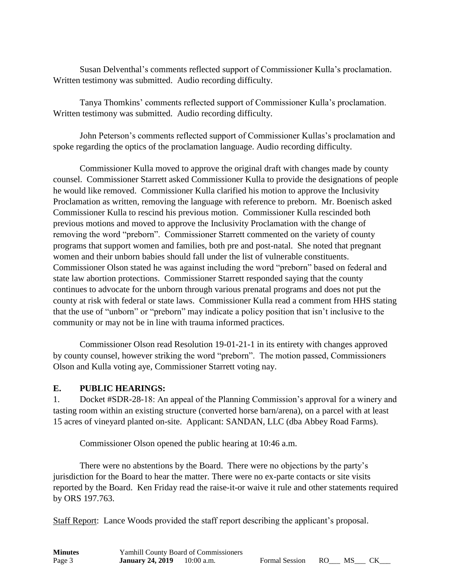Susan Delventhal's comments reflected support of Commissioner Kulla's proclamation. Written testimony was submitted. Audio recording difficulty.

Tanya Thomkins' comments reflected support of Commissioner Kulla's proclamation. Written testimony was submitted. Audio recording difficulty.

John Peterson's comments reflected support of Commissioner Kullas's proclamation and spoke regarding the optics of the proclamation language. Audio recording difficulty.

Commissioner Kulla moved to approve the original draft with changes made by county counsel. Commissioner Starrett asked Commissioner Kulla to provide the designations of people he would like removed. Commissioner Kulla clarified his motion to approve the Inclusivity Proclamation as written, removing the language with reference to preborn. Mr. Boenisch asked Commissioner Kulla to rescind his previous motion. Commissioner Kulla rescinded both previous motions and moved to approve the Inclusivity Proclamation with the change of removing the word "preborn". Commissioner Starrett commented on the variety of county programs that support women and families, both pre and post-natal. She noted that pregnant women and their unborn babies should fall under the list of vulnerable constituents. Commissioner Olson stated he was against including the word "preborn" based on federal and state law abortion protections. Commissioner Starrett responded saying that the county continues to advocate for the unborn through various prenatal programs and does not put the county at risk with federal or state laws. Commissioner Kulla read a comment from HHS stating that the use of "unborn" or "preborn" may indicate a policy position that isn't inclusive to the community or may not be in line with trauma informed practices.

Commissioner Olson read Resolution 19-01-21-1 in its entirety with changes approved by county counsel, however striking the word "preborn". The motion passed, Commissioners Olson and Kulla voting aye, Commissioner Starrett voting nay.

### **E. PUBLIC HEARINGS:**

1. Docket #SDR-28-18: An appeal of the Planning Commission's approval for a winery and tasting room within an existing structure (converted horse barn/arena), on a parcel with at least 15 acres of vineyard planted on-site. Applicant: SANDAN, LLC (dba Abbey Road Farms).

Commissioner Olson opened the public hearing at 10:46 a.m.

There were no abstentions by the Board. There were no objections by the party's jurisdiction for the Board to hear the matter. There were no ex-parte contacts or site visits reported by the Board. Ken Friday read the raise-it-or waive it rule and other statements required by ORS 197.763.

Staff Report: Lance Woods provided the staff report describing the applicant's proposal.

| <b>Minutes</b> | <b>Yamhill County Board of Commissioners</b> |              |                      |  |  |
|----------------|----------------------------------------------|--------------|----------------------|--|--|
| Page 3         | <b>January 24, 2019</b>                      | $10:00$ a.m. | Formal Session RO MS |  |  |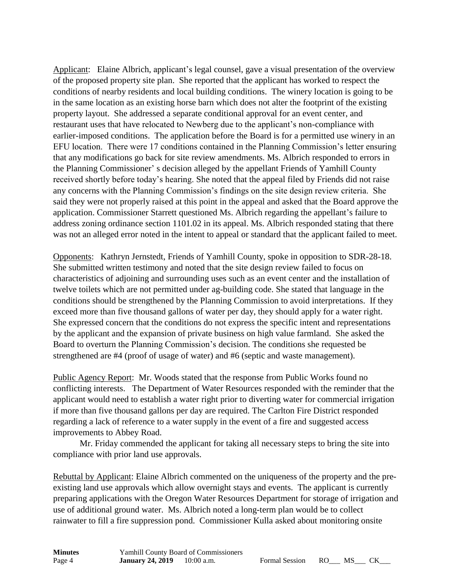Applicant: Elaine Albrich, applicant's legal counsel, gave a visual presentation of the overview of the proposed property site plan. She reported that the applicant has worked to respect the conditions of nearby residents and local building conditions. The winery location is going to be in the same location as an existing horse barn which does not alter the footprint of the existing property layout. She addressed a separate conditional approval for an event center, and restaurant uses that have relocated to Newberg due to the applicant's non-compliance with earlier-imposed conditions. The application before the Board is for a permitted use winery in an EFU location. There were 17 conditions contained in the Planning Commission's letter ensuring that any modifications go back for site review amendments. Ms. Albrich responded to errors in the Planning Commissioner' s decision alleged by the appellant Friends of Yamhill County received shortly before today's hearing. She noted that the appeal filed by Friends did not raise any concerns with the Planning Commission's findings on the site design review criteria. She said they were not properly raised at this point in the appeal and asked that the Board approve the application. Commissioner Starrett questioned Ms. Albrich regarding the appellant's failure to address zoning ordinance section 1101.02 in its appeal. Ms. Albrich responded stating that there was not an alleged error noted in the intent to appeal or standard that the applicant failed to meet.

Opponents: Kathryn Jernstedt, Friends of Yamhill County, spoke in opposition to SDR-28-18. She submitted written testimony and noted that the site design review failed to focus on characteristics of adjoining and surrounding uses such as an event center and the installation of twelve toilets which are not permitted under ag-building code. She stated that language in the conditions should be strengthened by the Planning Commission to avoid interpretations. If they exceed more than five thousand gallons of water per day, they should apply for a water right. She expressed concern that the conditions do not express the specific intent and representations by the applicant and the expansion of private business on high value farmland. She asked the Board to overturn the Planning Commission's decision. The conditions she requested be strengthened are #4 (proof of usage of water) and #6 (septic and waste management).

Public Agency Report: Mr. Woods stated that the response from Public Works found no conflicting interests. The Department of Water Resources responded with the reminder that the applicant would need to establish a water right prior to diverting water for commercial irrigation if more than five thousand gallons per day are required. The Carlton Fire District responded regarding a lack of reference to a water supply in the event of a fire and suggested access improvements to Abbey Road.

Mr. Friday commended the applicant for taking all necessary steps to bring the site into compliance with prior land use approvals.

Rebuttal by Applicant: Elaine Albrich commented on the uniqueness of the property and the preexisting land use approvals which allow overnight stays and events. The applicant is currently preparing applications with the Oregon Water Resources Department for storage of irrigation and use of additional ground water. Ms. Albrich noted a long-term plan would be to collect rainwater to fill a fire suppression pond. Commissioner Kulla asked about monitoring onsite

| <b>Minutes</b> | Yamhill County Board of Commissioners |              |
|----------------|---------------------------------------|--------------|
| Page 4         | <b>January 24, 2019</b>               | $10:00$ a.m. |